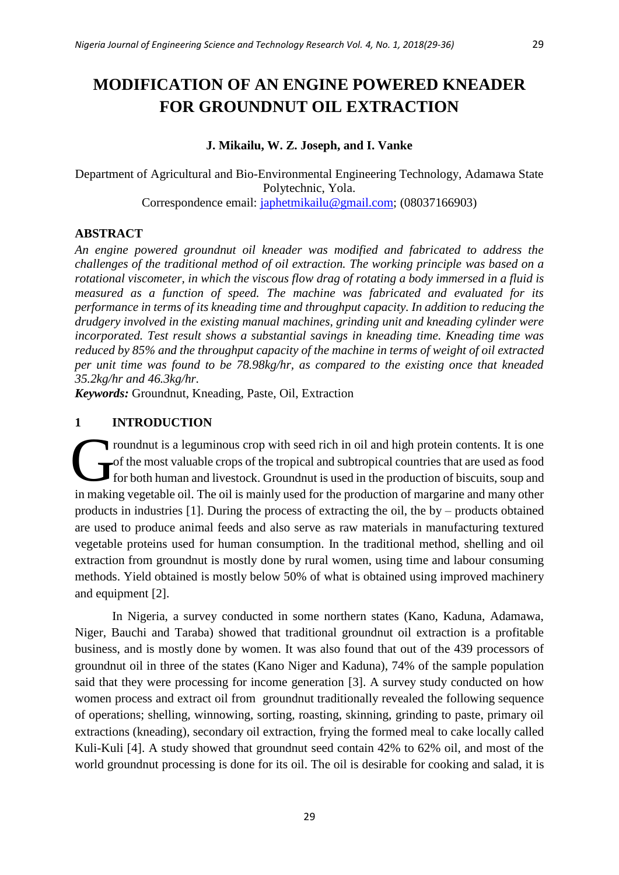# **MODIFICATION OF AN ENGINE POWERED KNEADER FOR GROUNDNUT OIL EXTRACTION**

# **J. Mikailu, W. Z. Joseph, and I. Vanke**

Department of Agricultural and Bio-Environmental Engineering Technology, Adamawa State Polytechnic, Yola. Correspondence email: [japhetmikailu@gmail.com;](mailto:japhetmikailu@gmail.com) (08037166903)

# **ABSTRACT**

*An engine powered groundnut oil kneader was modified and fabricated to address the challenges of the traditional method of oil extraction. The working principle was based on a rotational viscometer, in which the viscous flow drag of rotating a body immersed in a fluid is measured as a function of speed. The machine was fabricated and evaluated for its performance in terms of its kneading time and throughput capacity. In addition to reducing the drudgery involved in the existing manual machines, grinding unit and kneading cylinder were incorporated. Test result shows a substantial savings in kneading time. Kneading time was reduced by 85% and the throughput capacity of the machine in terms of weight of oil extracted per unit time was found to be 78.98kg/hr, as compared to the existing once that kneaded 35.2kg/hr and 46.3kg/hr.*

*Keywords:* Groundnut, Kneading, Paste, Oil, Extraction

# **1 INTRODUCTION**

roundnut is a leguminous crop with seed rich in oil and high protein contents. It is one of the most valuable crops of the tropical and subtropical countries that are used as food for both human and livestock. Groundnut is used in the production of biscuits, soup and in making vegetable oil. The oil is mainly used for the production of margarine and many other products in industries [1]. During the process of extracting the oil, the by – products obtained are used to produce animal feeds and also serve as raw materials in manufacturing textured vegetable proteins used for human consumption. In the traditional method, shelling and oil extraction from groundnut is mostly done by rural women, using time and labour consuming methods. Yield obtained is mostly below 50% of what is obtained using improved machinery and equipment [2]. G

In Nigeria, a survey conducted in some northern states (Kano, Kaduna, Adamawa, Niger, Bauchi and Taraba) showed that traditional groundnut oil extraction is a profitable business, and is mostly done by women. It was also found that out of the 439 processors of groundnut oil in three of the states (Kano Niger and Kaduna), 74% of the sample population said that they were processing for income generation [3]. A survey study conducted on how women process and extract oil from groundnut traditionally revealed the following sequence of operations; shelling, winnowing, sorting, roasting, skinning, grinding to paste, primary oil extractions (kneading), secondary oil extraction, frying the formed meal to cake locally called Kuli-Kuli [4]. A study showed that groundnut seed contain 42% to 62% oil, and most of the world groundnut processing is done for its oil. The oil is desirable for cooking and salad, it is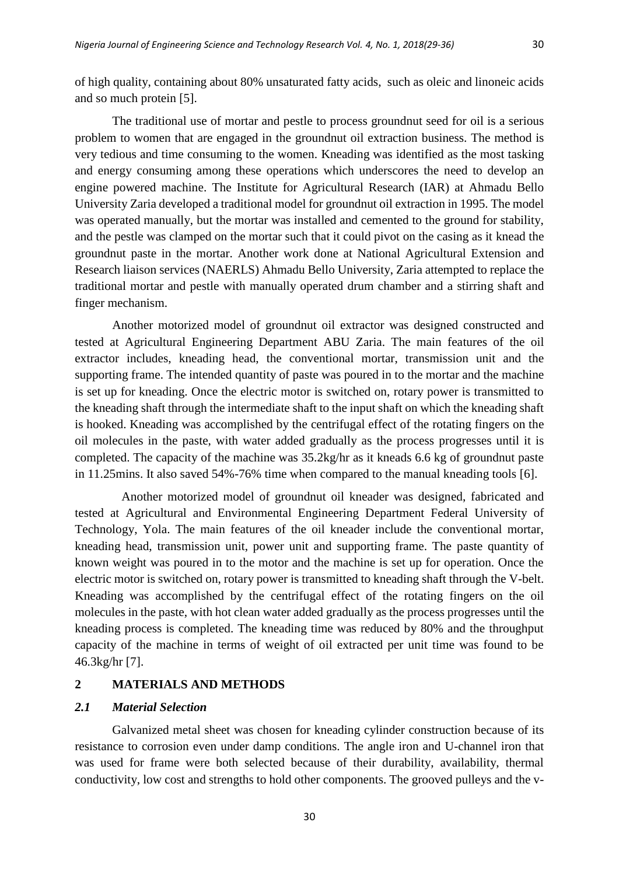of high quality, containing about 80% unsaturated fatty acids, such as oleic and linoneic acids and so much protein [5].

The traditional use of mortar and pestle to process groundnut seed for oil is a serious problem to women that are engaged in the groundnut oil extraction business. The method is very tedious and time consuming to the women. Kneading was identified as the most tasking and energy consuming among these operations which underscores the need to develop an engine powered machine. The Institute for Agricultural Research (IAR) at Ahmadu Bello University Zaria developed a traditional model for groundnut oil extraction in 1995. The model was operated manually, but the mortar was installed and cemented to the ground for stability, and the pestle was clamped on the mortar such that it could pivot on the casing as it knead the groundnut paste in the mortar. Another work done at National Agricultural Extension and Research liaison services (NAERLS) Ahmadu Bello University, Zaria attempted to replace the traditional mortar and pestle with manually operated drum chamber and a stirring shaft and finger mechanism.

Another motorized model of groundnut oil extractor was designed constructed and tested at Agricultural Engineering Department ABU Zaria. The main features of the oil extractor includes, kneading head, the conventional mortar, transmission unit and the supporting frame. The intended quantity of paste was poured in to the mortar and the machine is set up for kneading. Once the electric motor is switched on, rotary power is transmitted to the kneading shaft through the intermediate shaft to the input shaft on which the kneading shaft is hooked. Kneading was accomplished by the centrifugal effect of the rotating fingers on the oil molecules in the paste, with water added gradually as the process progresses until it is completed. The capacity of the machine was 35.2kg/hr as it kneads 6.6 kg of groundnut paste in 11.25mins. It also saved 54%-76% time when compared to the manual kneading tools [6].

Another motorized model of groundnut oil kneader was designed, fabricated and tested at Agricultural and Environmental Engineering Department Federal University of Technology, Yola. The main features of the oil kneader include the conventional mortar, kneading head, transmission unit, power unit and supporting frame. The paste quantity of known weight was poured in to the motor and the machine is set up for operation. Once the electric motor is switched on, rotary power is transmitted to kneading shaft through the V-belt. Kneading was accomplished by the centrifugal effect of the rotating fingers on the oil molecules in the paste, with hot clean water added gradually as the process progresses until the kneading process is completed. The kneading time was reduced by 80% and the throughput capacity of the machine in terms of weight of oil extracted per unit time was found to be 46.3kg/hr [7].

#### **2 MATERIALS AND METHODS**

### *2.1 Material Selection*

Galvanized metal sheet was chosen for kneading cylinder construction because of its resistance to corrosion even under damp conditions. The angle iron and U-channel iron that was used for frame were both selected because of their durability, availability, thermal conductivity, low cost and strengths to hold other components. The grooved pulleys and the v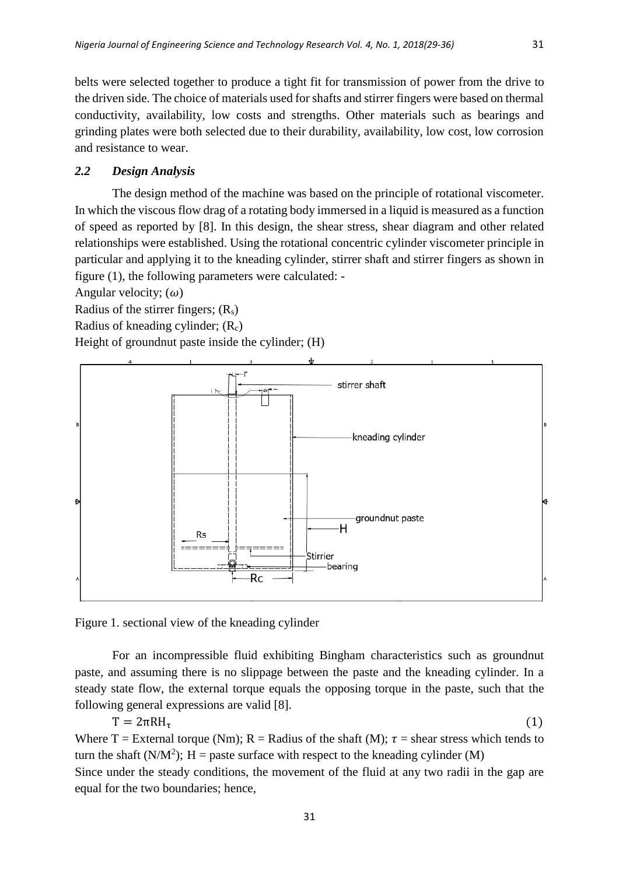belts were selected together to produce a tight fit for transmission of power from the drive to the driven side. The choice of materials used for shafts and stirrer fingers were based on thermal conductivity, availability, low costs and strengths. Other materials such as bearings and grinding plates were both selected due to their durability, availability, low cost, low corrosion and resistance to wear.

# *2.2 Design Analysis*

The design method of the machine was based on the principle of rotational viscometer. In which the viscous flow drag of a rotating body immersed in a liquid is measured as a function of speed as reported by [8]. In this design, the shear stress, shear diagram and other related relationships were established. Using the rotational concentric cylinder viscometer principle in particular and applying it to the kneading cylinder, stirrer shaft and stirrer fingers as shown in figure (1), the following parameters were calculated: -

Angular velocity;  $(\omega)$ 

Radius of the stirrer fingers;  $(R_s)$ 

Radius of kneading cylinder;  $(R<sub>c</sub>)$ 

Height of groundnut paste inside the cylinder; (H)



Figure 1. sectional view of the kneading cylinder

For an incompressible fluid exhibiting Bingham characteristics such as groundnut paste, and assuming there is no slippage between the paste and the kneading cylinder. In a steady state flow, the external torque equals the opposing torque in the paste, such that the following general expressions are valid [8].

$$
T = 2\pi RH_{\tau}
$$
 (1)  
Where T = External torque (Nm); R = Radius of the shaft (M);  $\tau$  = shear stress which tends to

turn the shaft ( $N/M^2$ ); H = paste surface with respect to the kneading cylinder (M) Since under the steady conditions, the movement of the fluid at any two radii in the gap are equal for the two boundaries; hence,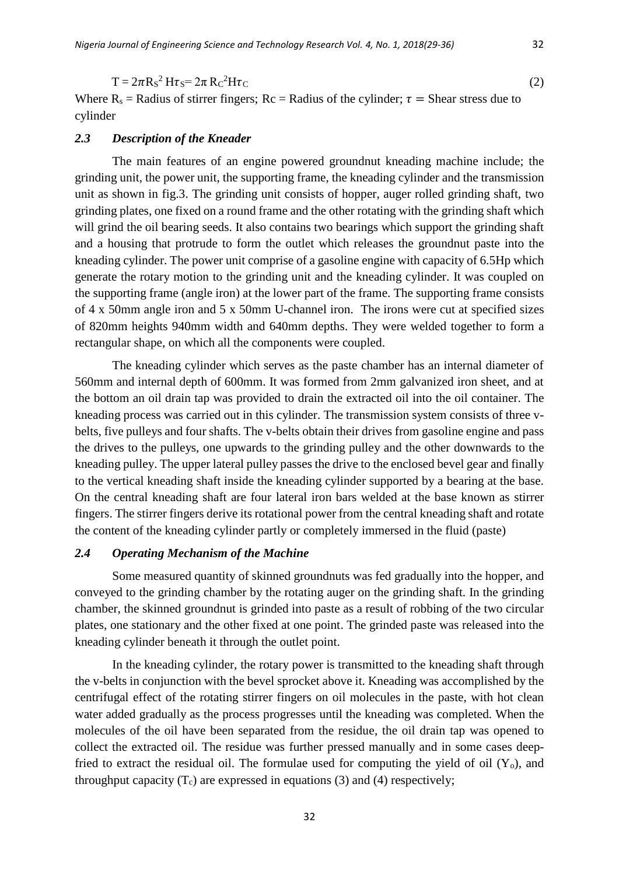$T = 2\pi R_s^2 H \tau_s = 2\pi R_c$  ${}^{2}H\tau C$  (2)

Where  $R_s$  = Radius of stirrer fingers;  $Rc$  = Radius of the cylinder;  $\tau$  = Shear stress due to cylinder

#### *2.3 Description of the Kneader*

The main features of an engine powered groundnut kneading machine include; the grinding unit, the power unit, the supporting frame, the kneading cylinder and the transmission unit as shown in fig.3. The grinding unit consists of hopper, auger rolled grinding shaft, two grinding plates, one fixed on a round frame and the other rotating with the grinding shaft which will grind the oil bearing seeds. It also contains two bearings which support the grinding shaft and a housing that protrude to form the outlet which releases the groundnut paste into the kneading cylinder. The power unit comprise of a gasoline engine with capacity of 6.5Hp which generate the rotary motion to the grinding unit and the kneading cylinder. It was coupled on the supporting frame (angle iron) at the lower part of the frame. The supporting frame consists of 4 x 50mm angle iron and 5 x 50mm U-channel iron. The irons were cut at specified sizes of 820mm heights 940mm width and 640mm depths. They were welded together to form a rectangular shape, on which all the components were coupled.

The kneading cylinder which serves as the paste chamber has an internal diameter of 560mm and internal depth of 600mm. It was formed from 2mm galvanized iron sheet, and at the bottom an oil drain tap was provided to drain the extracted oil into the oil container. The kneading process was carried out in this cylinder. The transmission system consists of three vbelts, five pulleys and four shafts. The v-belts obtain their drives from gasoline engine and pass the drives to the pulleys, one upwards to the grinding pulley and the other downwards to the kneading pulley. The upper lateral pulley passes the drive to the enclosed bevel gear and finally to the vertical kneading shaft inside the kneading cylinder supported by a bearing at the base. On the central kneading shaft are four lateral iron bars welded at the base known as stirrer fingers. The stirrer fingers derive its rotational power from the central kneading shaft and rotate the content of the kneading cylinder partly or completely immersed in the fluid (paste)

# *2.4 Operating Mechanism of the Machine*

Some measured quantity of skinned groundnuts was fed gradually into the hopper, and conveyed to the grinding chamber by the rotating auger on the grinding shaft. In the grinding chamber, the skinned groundnut is grinded into paste as a result of robbing of the two circular plates, one stationary and the other fixed at one point. The grinded paste was released into the kneading cylinder beneath it through the outlet point.

In the kneading cylinder, the rotary power is transmitted to the kneading shaft through the v-belts in conjunction with the bevel sprocket above it. Kneading was accomplished by the centrifugal effect of the rotating stirrer fingers on oil molecules in the paste, with hot clean water added gradually as the process progresses until the kneading was completed. When the molecules of the oil have been separated from the residue, the oil drain tap was opened to collect the extracted oil. The residue was further pressed manually and in some cases deepfried to extract the residual oil. The formulae used for computing the yield of oil  $(Y_0)$ , and throughput capacity  $(T_c)$  are expressed in equations (3) and (4) respectively;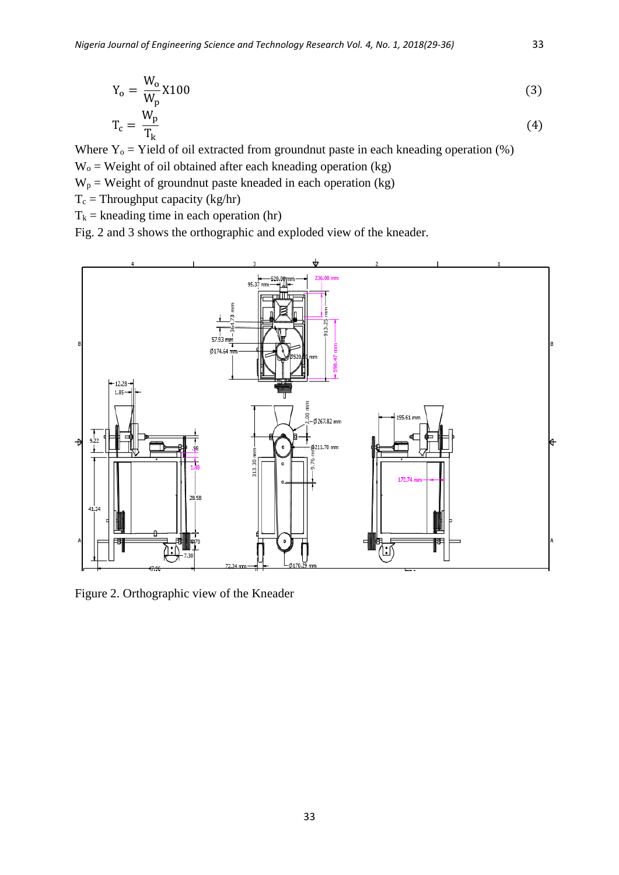$$
Y_o = \frac{W_o}{W_p} X 100
$$
\n
$$
T_c = \frac{W_p}{T_k}
$$
\n(3)

Where  $Y_0$  = Yield of oil extracted from groundnut paste in each kneading operation (%)  $W_0$  = Weight of oil obtained after each kneading operation (kg)

 $W_p$  = Weight of groundnut paste kneaded in each operation (kg)

 $T_c$  = Throughput capacity (kg/hr)

 $T_k$  = kneading time in each operation (hr)

Fig. 2 and 3 shows the orthographic and exploded view of the kneader.



Figure 2. Orthographic view of the Kneader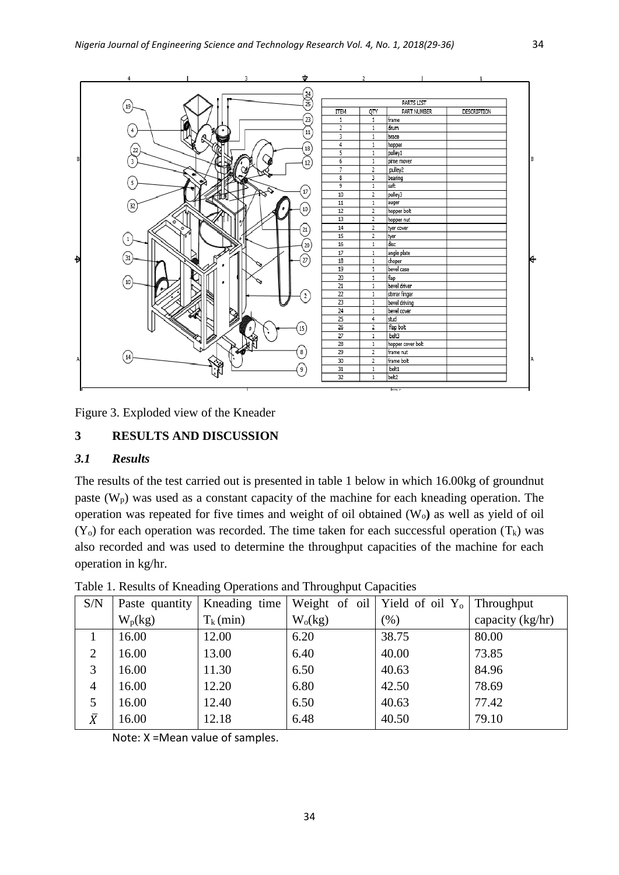

Figure 3. Exploded view of the Kneader

# **3 RESULTS AND DISCUSSION**

# *3.1 Results*

The results of the test carried out is presented in table 1 below in which 16.00kg of groundnut paste  $(W_p)$  was used as a constant capacity of the machine for each kneading operation. The operation was repeated for five times and weight of oil obtained (Wo**)** as well as yield of oil  $(Y_0)$  for each operation was recorded. The time taken for each successful operation  $(T_k)$  was also recorded and was used to determine the throughput capacities of the machine for each operation in kg/hr.

| S/N            | Paste quantity | Kneading time |           | Weight of oil   Yield of oil $Y_0$ | <b>Throughput</b> |
|----------------|----------------|---------------|-----------|------------------------------------|-------------------|
|                | $W_p(kg)$      | $T_k$ (min)   | $W_0(kg)$ | (% )                               | capacity (kg/hr)  |
|                | 16.00          | 12.00         | 6.20      | 38.75                              | 80.00             |
| $\overline{2}$ | 16.00          | 13.00         | 6.40      | 40.00                              | 73.85             |
| 3              | 16.00          | 11.30         | 6.50      | 40.63                              | 84.96             |
| 4              | 16.00          | 12.20         | 6.80      | 42.50                              | 78.69             |
| 5              | 16.00          | 12.40         | 6.50      | 40.63                              | 77.42             |
| $\bar{X}$      | 16.00          | 12.18         | 6.48      | 40.50                              | 79.10             |

Table 1. Results of Kneading Operations and Throughput Capacities

Note: X =Mean value of samples.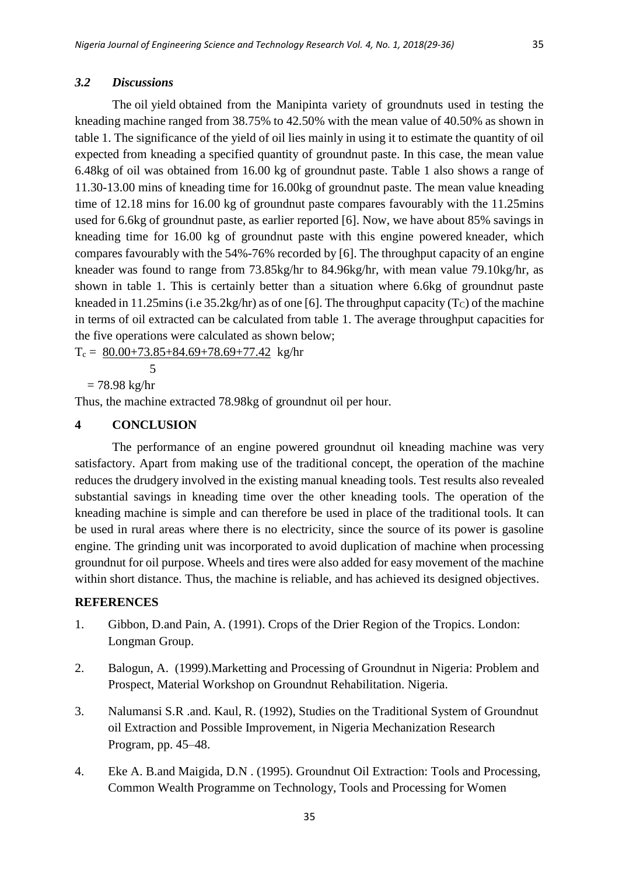#### *3.2 Discussions*

The oil yield obtained from the Manipinta variety of groundnuts used in testing the kneading machine ranged from 38.75% to 42.50% with the mean value of 40.50% as shown in table 1. The significance of the yield of oil lies mainly in using it to estimate the quantity of oil expected from kneading a specified quantity of groundnut paste. In this case, the mean value 6.48kg of oil was obtained from 16.00 kg of groundnut paste. Table 1 also shows a range of 11.30-13.00 mins of kneading time for 16.00kg of groundnut paste. The mean value kneading time of 12.18 mins for 16.00 kg of groundnut paste compares favourably with the 11.25mins used for 6.6kg of groundnut paste, as earlier reported [6]. Now, we have about 85% savings in kneading time for 16.00 kg of groundnut paste with this engine powered kneader, which compares favourably with the 54%-76% recorded by [6]. The throughput capacity of an engine kneader was found to range from 73.85kg/hr to 84.96kg/hr, with mean value 79.10kg/hr, as shown in table 1. This is certainly better than a situation where 6.6kg of groundnut paste kneaded in 11.25mins (i.e  $35.2 \text{kg/hr}$ ) as of one [6]. The throughput capacity (T<sub>C</sub>) of the machine in terms of oil extracted can be calculated from table 1. The average throughput capacities for the five operations were calculated as shown below;

 $T_c = 80.00+73.85+84.69+78.69+77.42$  kg/hr

5

 $= 78.98 \text{ kg/hr}$ 

Thus, the machine extracted 78.98kg of groundnut oil per hour.

# **4 CONCLUSION**

The performance of an engine powered groundnut oil kneading machine was very satisfactory. Apart from making use of the traditional concept, the operation of the machine reduces the drudgery involved in the existing manual kneading tools. Test results also revealed substantial savings in kneading time over the other kneading tools. The operation of the kneading machine is simple and can therefore be used in place of the traditional tools. It can be used in rural areas where there is no electricity, since the source of its power is gasoline engine. The grinding unit was incorporated to avoid duplication of machine when processing groundnut for oil purpose. Wheels and tires were also added for easy movement of the machine within short distance. Thus, the machine is reliable, and has achieved its designed objectives.

#### **REFERENCES**

- 1. Gibbon, D.and Pain, A. (1991). Crops of the Drier Region of the Tropics. London: Longman Group.
- 2. Balogun, A. (1999).Marketting and Processing of Groundnut in Nigeria: Problem and Prospect, Material Workshop on Groundnut Rehabilitation. Nigeria.
- 3. Nalumansi S.R .and. Kaul, R. (1992), Studies on the Traditional System of Groundnut oil Extraction and Possible Improvement, in Nigeria Mechanization Research Program, pp. 45–48.
- 4. Eke A. B.and Maigida, D.N . (1995). Groundnut Oil Extraction: Tools and Processing, Common Wealth Programme on Technology, Tools and Processing for Women